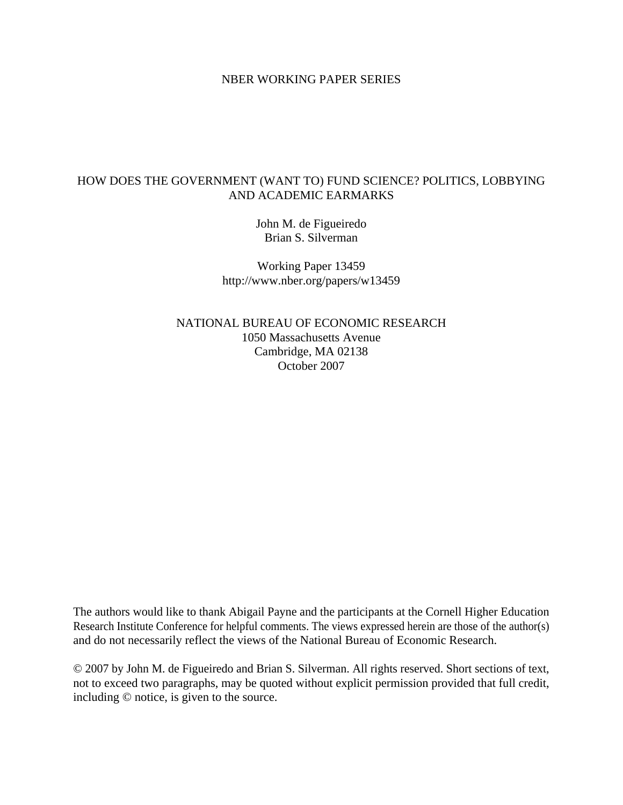#### NBER WORKING PAPER SERIES

# HOW DOES THE GOVERNMENT (WANT TO) FUND SCIENCE? POLITICS, LOBBYING AND ACADEMIC EARMARKS

John M. de Figueiredo Brian S. Silverman

Working Paper 13459 http://www.nber.org/papers/w13459

NATIONAL BUREAU OF ECONOMIC RESEARCH 1050 Massachusetts Avenue Cambridge, MA 02138 October 2007

The authors would like to thank Abigail Payne and the participants at the Cornell Higher Education Research Institute Conference for helpful comments. The views expressed herein are those of the author(s) and do not necessarily reflect the views of the National Bureau of Economic Research.

© 2007 by John M. de Figueiredo and Brian S. Silverman. All rights reserved. Short sections of text, not to exceed two paragraphs, may be quoted without explicit permission provided that full credit, including © notice, is given to the source.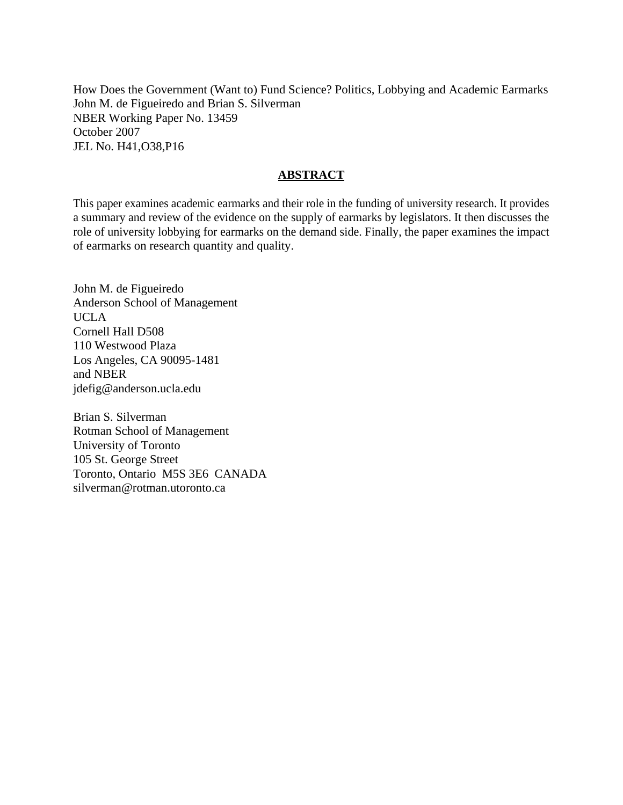How Does the Government (Want to) Fund Science? Politics, Lobbying and Academic Earmarks John M. de Figueiredo and Brian S. Silverman NBER Working Paper No. 13459 October 2007 JEL No. H41,O38,P16

# **ABSTRACT**

This paper examines academic earmarks and their role in the funding of university research. It provides a summary and review of the evidence on the supply of earmarks by legislators. It then discusses the role of university lobbying for earmarks on the demand side. Finally, the paper examines the impact of earmarks on research quantity and quality.

John M. de Figueiredo Anderson School of Management UCLA Cornell Hall D508 110 Westwood Plaza Los Angeles, CA 90095-1481 and NBER jdefig@anderson.ucla.edu

Brian S. Silverman Rotman School of Management University of Toronto 105 St. George Street Toronto, Ontario M5S 3E6 CANADA silverman@rotman.utoronto.ca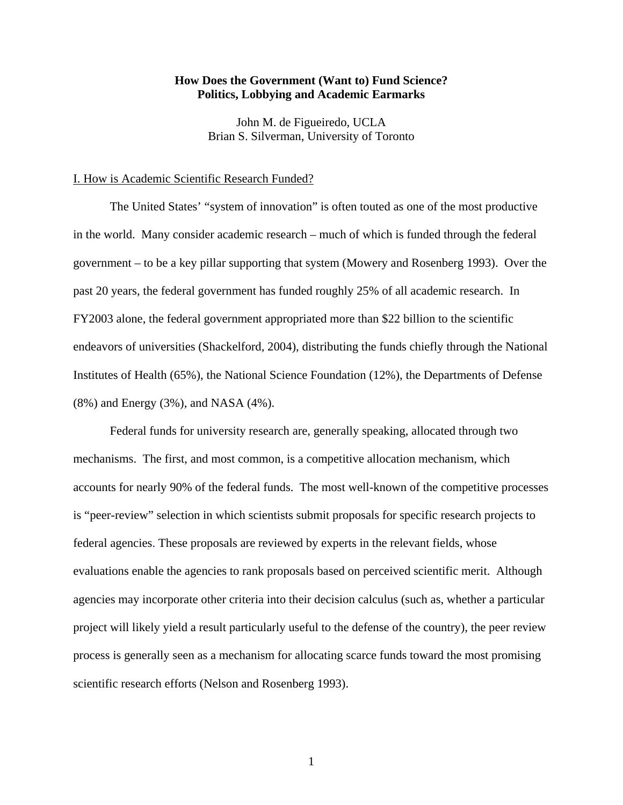#### **How Does the Government (Want to) Fund Science? Politics, Lobbying and Academic Earmarks**

John M. de Figueiredo, UCLA Brian S. Silverman, University of Toronto

#### I. How is Academic Scientific Research Funded?

 The United States' "system of innovation" is often touted as one of the most productive in the world. Many consider academic research – much of which is funded through the federal government – to be a key pillar supporting that system (Mowery and Rosenberg 1993). Over the past 20 years, the federal government has funded roughly 25% of all academic research. In FY2003 alone, the federal government appropriated more than \$22 billion to the scientific endeavors of universities (Shackelford, 2004), distributing the funds chiefly through the National Institutes of Health (65%), the National Science Foundation (12%), the Departments of Defense (8%) and Energy (3%), and NASA (4%).

 Federal funds for university research are, generally speaking, allocated through two mechanisms. The first, and most common, is a competitive allocation mechanism, which accounts for nearly 90% of the federal funds. The most well-known of the competitive processes is "peer-review" selection in which scientists submit proposals for specific research projects to federal agencies. These proposals are reviewed by experts in the relevant fields, whose evaluations enable the agencies to rank proposals based on perceived scientific merit. Although agencies may incorporate other criteria into their decision calculus (such as, whether a particular project will likely yield a result particularly useful to the defense of the country), the peer review process is generally seen as a mechanism for allocating scarce funds toward the most promising scientific research efforts (Nelson and Rosenberg 1993).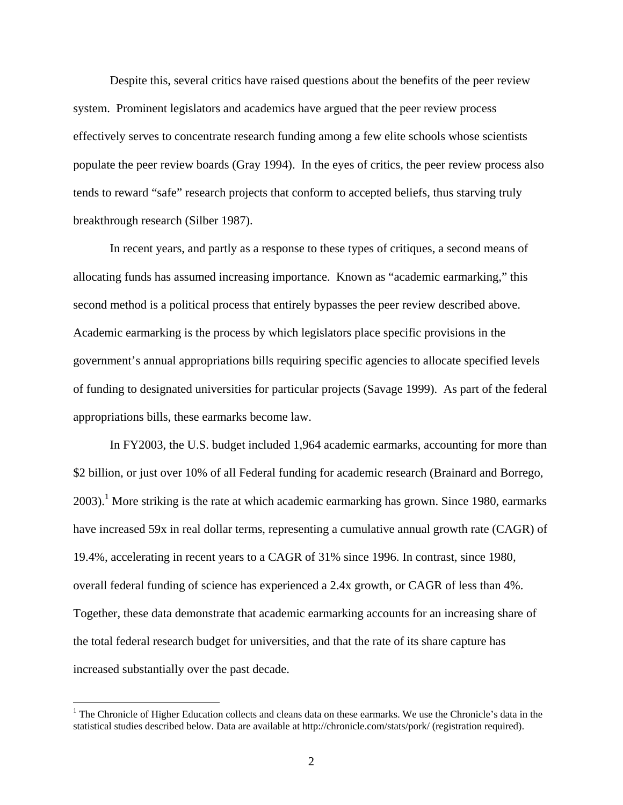Despite this, several critics have raised questions about the benefits of the peer review system. Prominent legislators and academics have argued that the peer review process effectively serves to concentrate research funding among a few elite schools whose scientists populate the peer review boards (Gray 1994). In the eyes of critics, the peer review process also tends to reward "safe" research projects that conform to accepted beliefs, thus starving truly breakthrough research (Silber 1987).

 In recent years, and partly as a response to these types of critiques, a second means of allocating funds has assumed increasing importance. Known as "academic earmarking," this second method is a political process that entirely bypasses the peer review described above. Academic earmarking is the process by which legislators place specific provisions in the government's annual appropriations bills requiring specific agencies to allocate specified levels of funding to designated universities for particular projects (Savage 1999). As part of the federal appropriations bills, these earmarks become law.

 In FY2003, the U.S. budget included 1,964 academic earmarks, accounting for more than \$2 billion, or just over 10% of all Federal funding for academic research (Brainard and Borrego,  $2003$ .<sup>1</sup> More striking is the rate at which academic earmarking has grown. Since 1980, earmarks have increased 59x in real dollar terms, representing a cumulative annual growth rate (CAGR) of 19.4%, accelerating in recent years to a CAGR of 31% since 1996. In contrast, since 1980, overall federal funding of science has experienced a 2.4x growth, or CAGR of less than 4%. Together, these data demonstrate that academic earmarking accounts for an increasing share of the total federal research budget for universities, and that the rate of its share capture has increased substantially over the past decade.

 $\overline{a}$ 

<sup>&</sup>lt;sup>1</sup> The Chronicle of Higher Education collects and cleans data on these earmarks. We use the Chronicle's data in the statistical studies described below. Data are available at http://chronicle.com/stats/pork/ (registration required).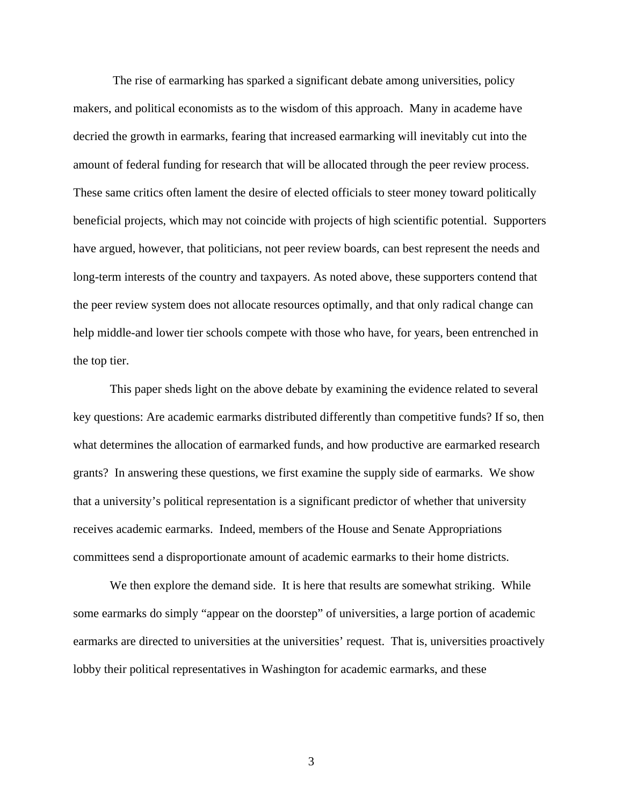The rise of earmarking has sparked a significant debate among universities, policy makers, and political economists as to the wisdom of this approach. Many in academe have decried the growth in earmarks, fearing that increased earmarking will inevitably cut into the amount of federal funding for research that will be allocated through the peer review process. These same critics often lament the desire of elected officials to steer money toward politically beneficial projects, which may not coincide with projects of high scientific potential. Supporters have argued, however, that politicians, not peer review boards, can best represent the needs and long-term interests of the country and taxpayers. As noted above, these supporters contend that the peer review system does not allocate resources optimally, and that only radical change can help middle-and lower tier schools compete with those who have, for years, been entrenched in the top tier.

This paper sheds light on the above debate by examining the evidence related to several key questions: Are academic earmarks distributed differently than competitive funds? If so, then what determines the allocation of earmarked funds, and how productive are earmarked research grants? In answering these questions, we first examine the supply side of earmarks. We show that a university's political representation is a significant predictor of whether that university receives academic earmarks. Indeed, members of the House and Senate Appropriations committees send a disproportionate amount of academic earmarks to their home districts.

We then explore the demand side. It is here that results are somewhat striking. While some earmarks do simply "appear on the doorstep" of universities, a large portion of academic earmarks are directed to universities at the universities' request. That is, universities proactively lobby their political representatives in Washington for academic earmarks, and these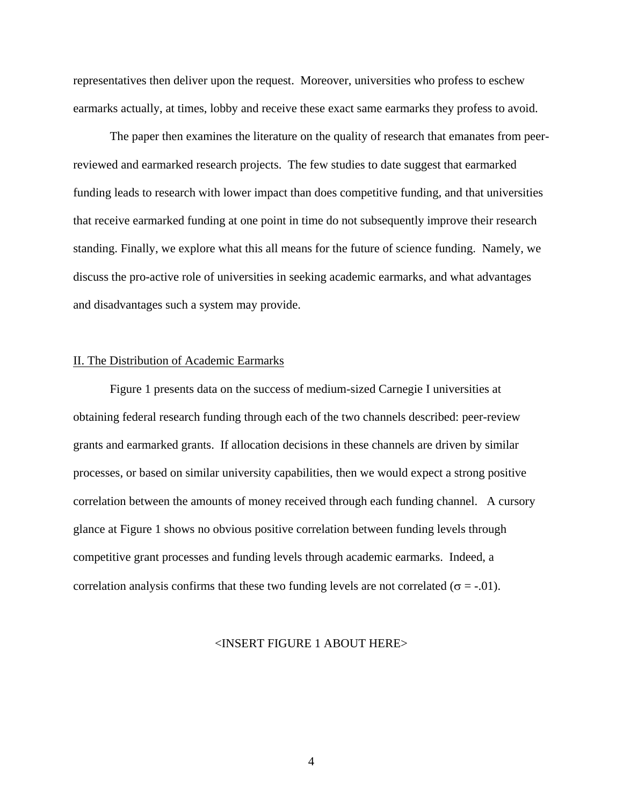representatives then deliver upon the request. Moreover, universities who profess to eschew earmarks actually, at times, lobby and receive these exact same earmarks they profess to avoid.

The paper then examines the literature on the quality of research that emanates from peerreviewed and earmarked research projects. The few studies to date suggest that earmarked funding leads to research with lower impact than does competitive funding, and that universities that receive earmarked funding at one point in time do not subsequently improve their research standing. Finally, we explore what this all means for the future of science funding. Namely, we discuss the pro-active role of universities in seeking academic earmarks, and what advantages and disadvantages such a system may provide.

#### II. The Distribution of Academic Earmarks

Figure 1 presents data on the success of medium-sized Carnegie I universities at obtaining federal research funding through each of the two channels described: peer-review grants and earmarked grants. If allocation decisions in these channels are driven by similar processes, or based on similar university capabilities, then we would expect a strong positive correlation between the amounts of money received through each funding channel. A cursory glance at Figure 1 shows no obvious positive correlation between funding levels through competitive grant processes and funding levels through academic earmarks. Indeed, a correlation analysis confirms that these two funding levels are not correlated ( $\sigma$  = -.01).

# <INSERT FIGURE 1 ABOUT HERE>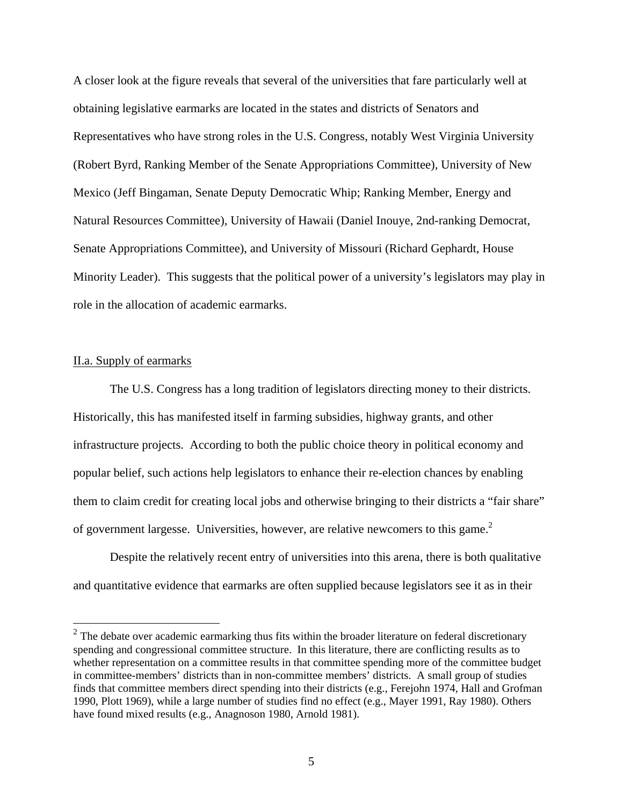A closer look at the figure reveals that several of the universities that fare particularly well at obtaining legislative earmarks are located in the states and districts of Senators and Representatives who have strong roles in the U.S. Congress, notably West Virginia University (Robert Byrd, Ranking Member of the Senate Appropriations Committee), University of New Mexico (Jeff Bingaman, Senate Deputy Democratic Whip; Ranking Member, Energy and Natural Resources Committee), University of Hawaii (Daniel Inouye, 2nd-ranking Democrat, Senate Appropriations Committee), and University of Missouri (Richard Gephardt, House Minority Leader). This suggests that the political power of a university's legislators may play in role in the allocation of academic earmarks.

#### II.a. Supply of earmarks

 $\overline{a}$ 

The U.S. Congress has a long tradition of legislators directing money to their districts. Historically, this has manifested itself in farming subsidies, highway grants, and other infrastructure projects. According to both the public choice theory in political economy and popular belief, such actions help legislators to enhance their re-election chances by enabling them to claim credit for creating local jobs and otherwise bringing to their districts a "fair share" of government largesse. Universities, however, are relative newcomers to this game. $2$ 

Despite the relatively recent entry of universities into this arena, there is both qualitative and quantitative evidence that earmarks are often supplied because legislators see it as in their

 $2$  The debate over academic earmarking thus fits within the broader literature on federal discretionary spending and congressional committee structure. In this literature, there are conflicting results as to whether representation on a committee results in that committee spending more of the committee budget in committee-members' districts than in non-committee members' districts. A small group of studies finds that committee members direct spending into their districts (e.g., Ferejohn 1974, Hall and Grofman 1990, Plott 1969), while a large number of studies find no effect (e.g., Mayer 1991, Ray 1980). Others have found mixed results (e.g., Anagnoson 1980, Arnold 1981).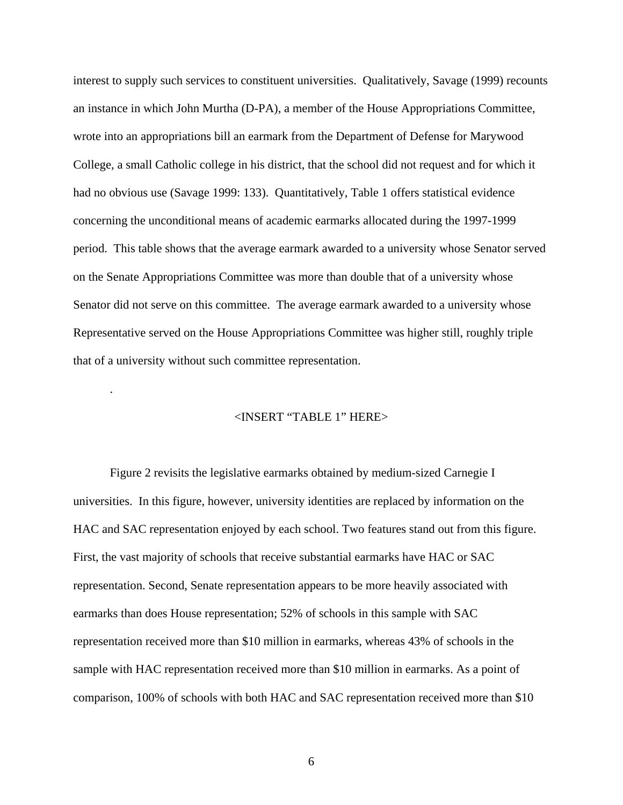interest to supply such services to constituent universities. Qualitatively, Savage (1999) recounts an instance in which John Murtha (D-PA), a member of the House Appropriations Committee, wrote into an appropriations bill an earmark from the Department of Defense for Marywood College, a small Catholic college in his district, that the school did not request and for which it had no obvious use (Savage 1999: 133). Quantitatively, Table 1 offers statistical evidence concerning the unconditional means of academic earmarks allocated during the 1997-1999 period. This table shows that the average earmark awarded to a university whose Senator served on the Senate Appropriations Committee was more than double that of a university whose Senator did not serve on this committee. The average earmark awarded to a university whose Representative served on the House Appropriations Committee was higher still, roughly triple that of a university without such committee representation.

#### <INSERT "TABLE 1" HERE>

.

Figure 2 revisits the legislative earmarks obtained by medium-sized Carnegie I universities. In this figure, however, university identities are replaced by information on the HAC and SAC representation enjoyed by each school. Two features stand out from this figure. First, the vast majority of schools that receive substantial earmarks have HAC or SAC representation. Second, Senate representation appears to be more heavily associated with earmarks than does House representation; 52% of schools in this sample with SAC representation received more than \$10 million in earmarks, whereas 43% of schools in the sample with HAC representation received more than \$10 million in earmarks. As a point of comparison, 100% of schools with both HAC and SAC representation received more than \$10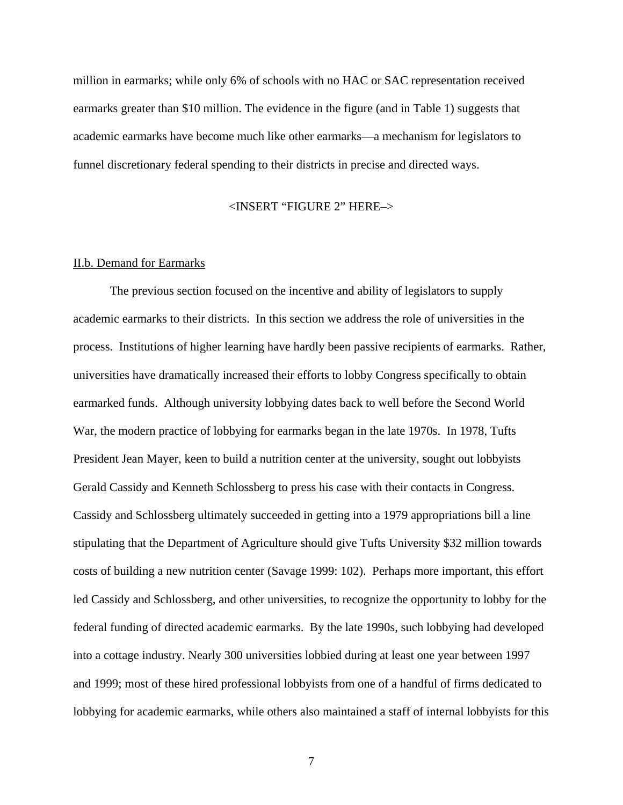million in earmarks; while only 6% of schools with no HAC or SAC representation received earmarks greater than \$10 million. The evidence in the figure (and in Table 1) suggests that academic earmarks have become much like other earmarks—a mechanism for legislators to funnel discretionary federal spending to their districts in precise and directed ways.

<INSERT "FIGURE 2" HERE–>

#### II.b. Demand for Earmarks

 The previous section focused on the incentive and ability of legislators to supply academic earmarks to their districts. In this section we address the role of universities in the process. Institutions of higher learning have hardly been passive recipients of earmarks. Rather, universities have dramatically increased their efforts to lobby Congress specifically to obtain earmarked funds. Although university lobbying dates back to well before the Second World War, the modern practice of lobbying for earmarks began in the late 1970s. In 1978, Tufts President Jean Mayer, keen to build a nutrition center at the university, sought out lobbyists Gerald Cassidy and Kenneth Schlossberg to press his case with their contacts in Congress. Cassidy and Schlossberg ultimately succeeded in getting into a 1979 appropriations bill a line stipulating that the Department of Agriculture should give Tufts University \$32 million towards costs of building a new nutrition center (Savage 1999: 102). Perhaps more important, this effort led Cassidy and Schlossberg, and other universities, to recognize the opportunity to lobby for the federal funding of directed academic earmarks. By the late 1990s, such lobbying had developed into a cottage industry. Nearly 300 universities lobbied during at least one year between 1997 and 1999; most of these hired professional lobbyists from one of a handful of firms dedicated to lobbying for academic earmarks, while others also maintained a staff of internal lobbyists for this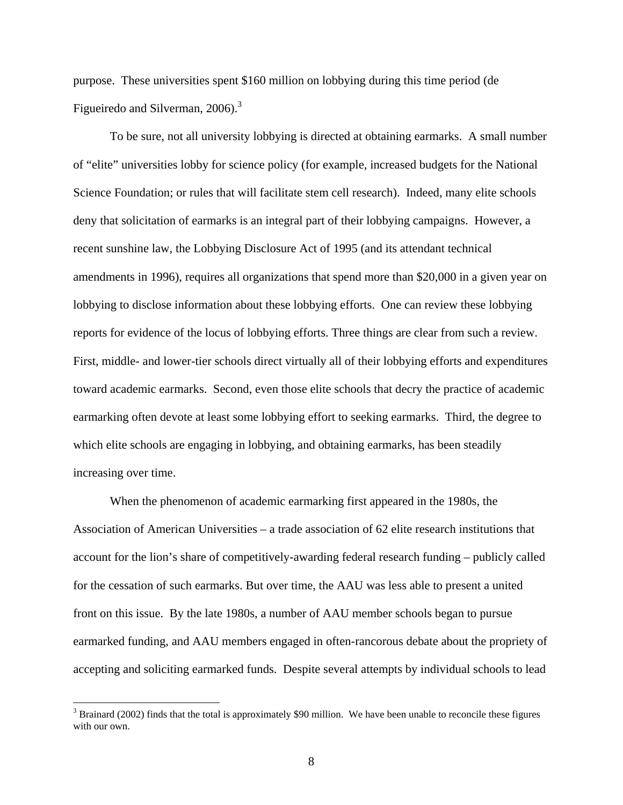purpose. These universities spent \$160 million on lobbying during this time period (de Figueiredo and Silverman, 2006).<sup>3</sup>

 To be sure, not all university lobbying is directed at obtaining earmarks. A small number of "elite" universities lobby for science policy (for example, increased budgets for the National Science Foundation; or rules that will facilitate stem cell research). Indeed, many elite schools deny that solicitation of earmarks is an integral part of their lobbying campaigns. However, a recent sunshine law, the Lobbying Disclosure Act of 1995 (and its attendant technical amendments in 1996), requires all organizations that spend more than \$20,000 in a given year on lobbying to disclose information about these lobbying efforts. One can review these lobbying reports for evidence of the locus of lobbying efforts. Three things are clear from such a review. First, middle- and lower-tier schools direct virtually all of their lobbying efforts and expenditures toward academic earmarks. Second, even those elite schools that decry the practice of academic earmarking often devote at least some lobbying effort to seeking earmarks. Third, the degree to which elite schools are engaging in lobbying, and obtaining earmarks, has been steadily increasing over time.

 When the phenomenon of academic earmarking first appeared in the 1980s, the Association of American Universities – a trade association of 62 elite research institutions that account for the lion's share of competitively-awarding federal research funding – publicly called for the cessation of such earmarks. But over time, the AAU was less able to present a united front on this issue. By the late 1980s, a number of AAU member schools began to pursue earmarked funding, and AAU members engaged in often-rancorous debate about the propriety of accepting and soliciting earmarked funds. Despite several attempts by individual schools to lead

 $\overline{a}$ 

 $3$  Brainard (2002) finds that the total is approximately \$90 million. We have been unable to reconcile these figures with our own.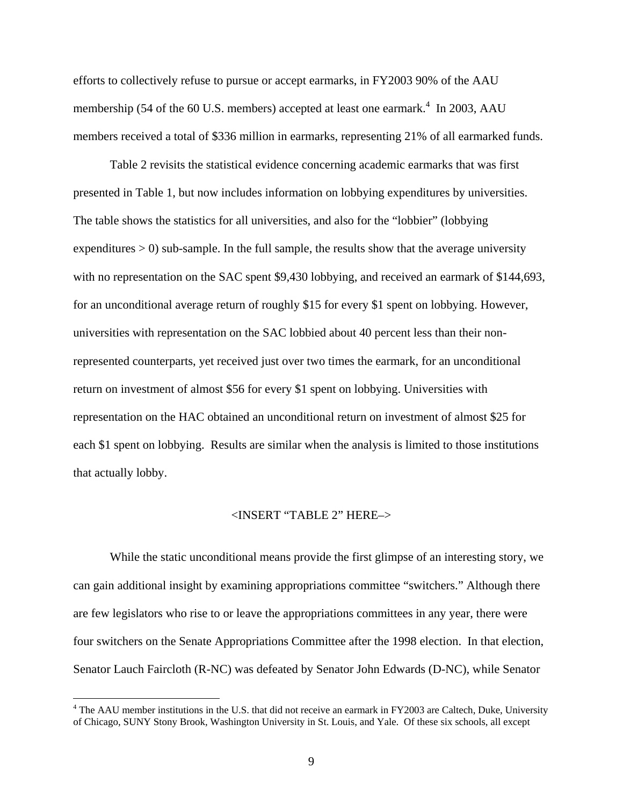efforts to collectively refuse to pursue or accept earmarks, in FY2003 90% of the AAU membership (54 of the 60 U.S. members) accepted at least one earmark.<sup>4</sup> In 2003, AAU members received a total of \$336 million in earmarks, representing 21% of all earmarked funds.

 Table 2 revisits the statistical evidence concerning academic earmarks that was first presented in Table 1, but now includes information on lobbying expenditures by universities. The table shows the statistics for all universities, and also for the "lobbier" (lobbying expenditures  $> 0$ ) sub-sample. In the full sample, the results show that the average university with no representation on the SAC spent \$9,430 lobbying, and received an earmark of \$144,693, for an unconditional average return of roughly \$15 for every \$1 spent on lobbying. However, universities with representation on the SAC lobbied about 40 percent less than their nonrepresented counterparts, yet received just over two times the earmark, for an unconditional return on investment of almost \$56 for every \$1 spent on lobbying. Universities with representation on the HAC obtained an unconditional return on investment of almost \$25 for each \$1 spent on lobbying. Results are similar when the analysis is limited to those institutions that actually lobby.

#### <INSERT "TABLE 2" HERE–>

While the static unconditional means provide the first glimpse of an interesting story, we can gain additional insight by examining appropriations committee "switchers." Although there are few legislators who rise to or leave the appropriations committees in any year, there were four switchers on the Senate Appropriations Committee after the 1998 election. In that election, Senator Lauch Faircloth (R-NC) was defeated by Senator John Edwards (D-NC), while Senator

<sup>&</sup>lt;sup>4</sup> The AAU member institutions in the U.S. that did not receive an earmark in FY2003 are Caltech, Duke, University of Chicago, SUNY Stony Brook, Washington University in St. Louis, and Yale. Of these six schools, all except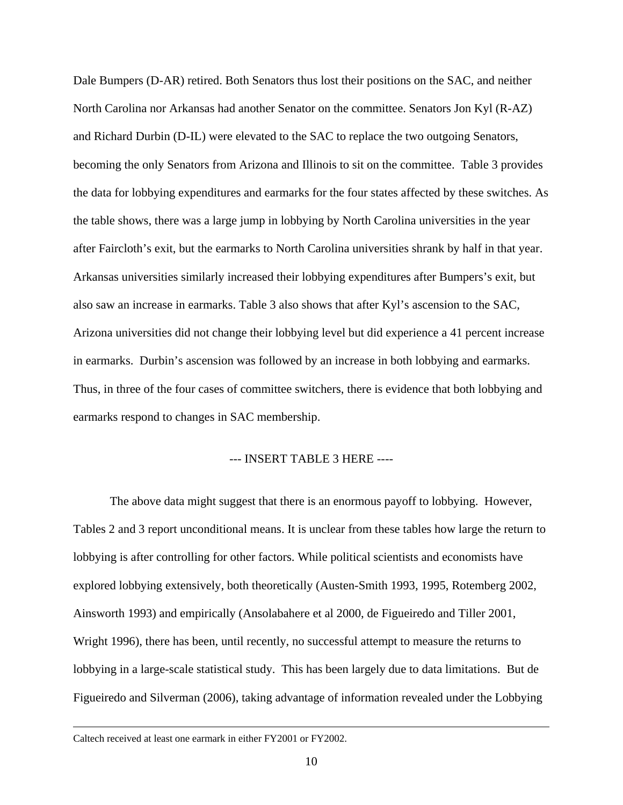Dale Bumpers (D-AR) retired. Both Senators thus lost their positions on the SAC, and neither North Carolina nor Arkansas had another Senator on the committee. Senators Jon Kyl (R-AZ) and Richard Durbin (D-IL) were elevated to the SAC to replace the two outgoing Senators, becoming the only Senators from Arizona and Illinois to sit on the committee. Table 3 provides the data for lobbying expenditures and earmarks for the four states affected by these switches. As the table shows, there was a large jump in lobbying by North Carolina universities in the year after Faircloth's exit, but the earmarks to North Carolina universities shrank by half in that year. Arkansas universities similarly increased their lobbying expenditures after Bumpers's exit, but also saw an increase in earmarks. Table 3 also shows that after Kyl's ascension to the SAC, Arizona universities did not change their lobbying level but did experience a 41 percent increase in earmarks. Durbin's ascension was followed by an increase in both lobbying and earmarks. Thus, in three of the four cases of committee switchers, there is evidence that both lobbying and earmarks respond to changes in SAC membership.

### --- INSERT TABLE 3 HERE ----

The above data might suggest that there is an enormous payoff to lobbying. However, Tables 2 and 3 report unconditional means. It is unclear from these tables how large the return to lobbying is after controlling for other factors. While political scientists and economists have explored lobbying extensively, both theoretically (Austen-Smith 1993, 1995, Rotemberg 2002, Ainsworth 1993) and empirically (Ansolabahere et al 2000, de Figueiredo and Tiller 2001, Wright 1996), there has been, until recently, no successful attempt to measure the returns to lobbying in a large-scale statistical study. This has been largely due to data limitations. But de Figueiredo and Silverman (2006), taking advantage of information revealed under the Lobbying

Caltech received at least one earmark in either FY2001 or FY2002.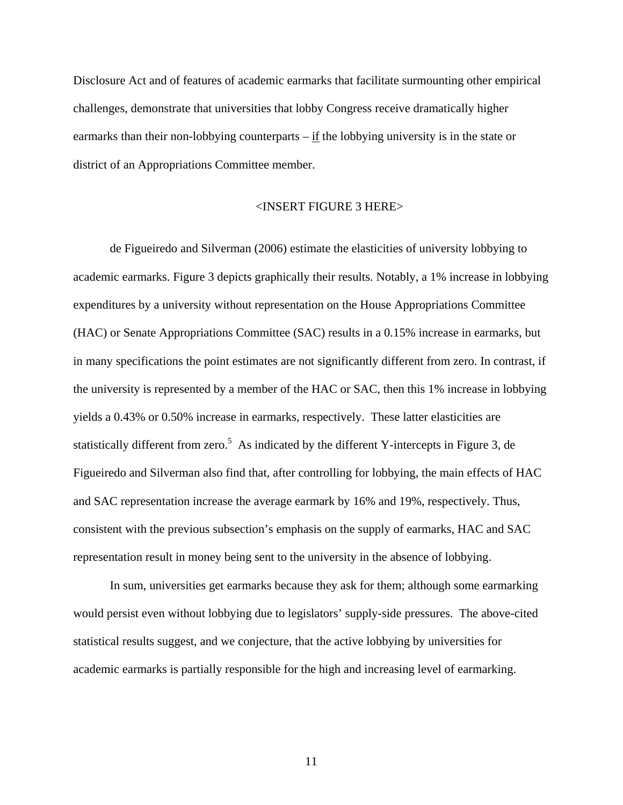Disclosure Act and of features of academic earmarks that facilitate surmounting other empirical challenges, demonstrate that universities that lobby Congress receive dramatically higher earmarks than their non-lobbying counterparts  $-\underline{\text{if}}$  the lobbying university is in the state or district of an Appropriations Committee member.

#### <INSERT FIGURE 3 HERE>

de Figueiredo and Silverman (2006) estimate the elasticities of university lobbying to academic earmarks. Figure 3 depicts graphically their results. Notably, a 1% increase in lobbying expenditures by a university without representation on the House Appropriations Committee (HAC) or Senate Appropriations Committee (SAC) results in a 0.15% increase in earmarks, but in many specifications the point estimates are not significantly different from zero. In contrast, if the university is represented by a member of the HAC or SAC, then this 1% increase in lobbying yields a 0.43% or 0.50% increase in earmarks, respectively. These latter elasticities are statistically different from zero.<sup>5</sup> As indicated by the different Y-intercepts in Figure 3, de Figueiredo and Silverman also find that, after controlling for lobbying, the main effects of HAC and SAC representation increase the average earmark by 16% and 19%, respectively. Thus, consistent with the previous subsection's emphasis on the supply of earmarks, HAC and SAC representation result in money being sent to the university in the absence of lobbying.

In sum, universities get earmarks because they ask for them; although some earmarking would persist even without lobbying due to legislators' supply-side pressures. The above-cited statistical results suggest, and we conjecture, that the active lobbying by universities for academic earmarks is partially responsible for the high and increasing level of earmarking.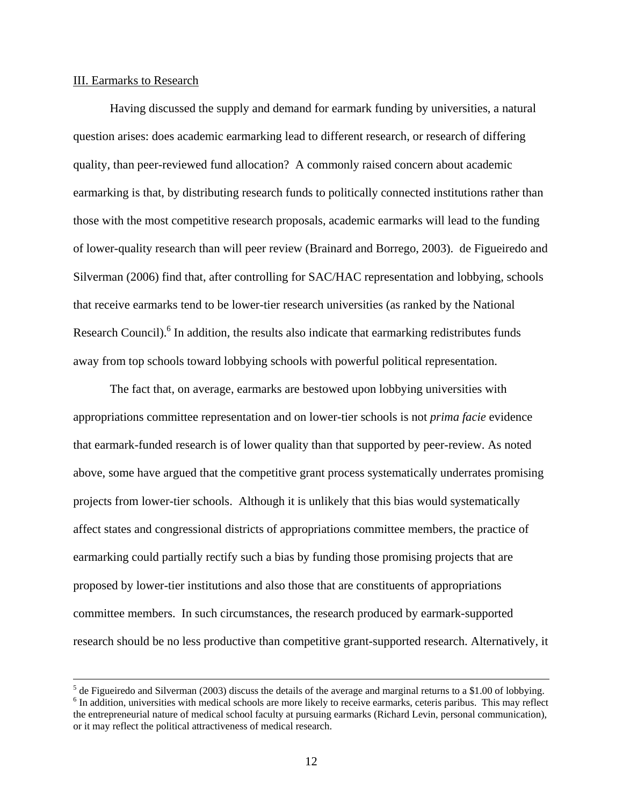#### III. Earmarks to Research

 Having discussed the supply and demand for earmark funding by universities, a natural question arises: does academic earmarking lead to different research, or research of differing quality, than peer-reviewed fund allocation? A commonly raised concern about academic earmarking is that, by distributing research funds to politically connected institutions rather than those with the most competitive research proposals, academic earmarks will lead to the funding of lower-quality research than will peer review (Brainard and Borrego, 2003). de Figueiredo and Silverman (2006) find that, after controlling for SAC/HAC representation and lobbying, schools that receive earmarks tend to be lower-tier research universities (as ranked by the National Research Council).<sup>6</sup> In addition, the results also indicate that earmarking redistributes funds away from top schools toward lobbying schools with powerful political representation.

 The fact that, on average, earmarks are bestowed upon lobbying universities with appropriations committee representation and on lower-tier schools is not *prima facie* evidence that earmark-funded research is of lower quality than that supported by peer-review. As noted above, some have argued that the competitive grant process systematically underrates promising projects from lower-tier schools. Although it is unlikely that this bias would systematically affect states and congressional districts of appropriations committee members, the practice of earmarking could partially rectify such a bias by funding those promising projects that are proposed by lower-tier institutions and also those that are constituents of appropriations committee members. In such circumstances, the research produced by earmark-supported research should be no less productive than competitive grant-supported research. Alternatively, it

 <sup>5</sup>  $<sup>5</sup>$  de Figueiredo and Silverman (2003) discuss the details of the average and marginal returns to a \$1.00 of lobbying.</sup> <sup>6</sup> In addition, universities with medical schools are more likely to receive earmarks, ceteris paribus. This may reflect the entrepreneurial nature of medical school faculty at pursuing earmarks (Richard Levin, personal communication), or it may reflect the political attractiveness of medical research.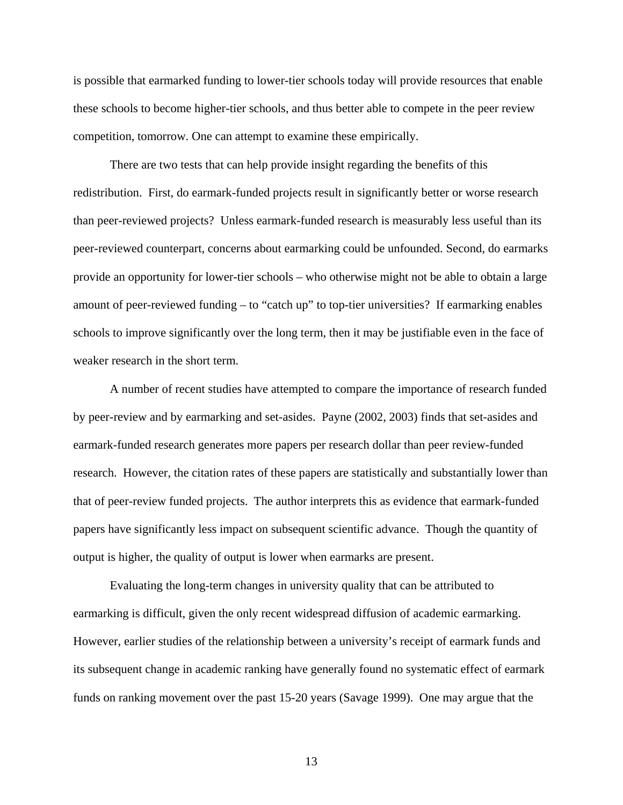is possible that earmarked funding to lower-tier schools today will provide resources that enable these schools to become higher-tier schools, and thus better able to compete in the peer review competition, tomorrow. One can attempt to examine these empirically.

 There are two tests that can help provide insight regarding the benefits of this redistribution. First, do earmark-funded projects result in significantly better or worse research than peer-reviewed projects? Unless earmark-funded research is measurably less useful than its peer-reviewed counterpart, concerns about earmarking could be unfounded. Second, do earmarks provide an opportunity for lower-tier schools – who otherwise might not be able to obtain a large amount of peer-reviewed funding – to "catch up" to top-tier universities? If earmarking enables schools to improve significantly over the long term, then it may be justifiable even in the face of weaker research in the short term.

A number of recent studies have attempted to compare the importance of research funded by peer-review and by earmarking and set-asides. Payne (2002, 2003) finds that set-asides and earmark-funded research generates more papers per research dollar than peer review-funded research. However, the citation rates of these papers are statistically and substantially lower than that of peer-review funded projects. The author interprets this as evidence that earmark-funded papers have significantly less impact on subsequent scientific advance. Though the quantity of output is higher, the quality of output is lower when earmarks are present.

Evaluating the long-term changes in university quality that can be attributed to earmarking is difficult, given the only recent widespread diffusion of academic earmarking. However, earlier studies of the relationship between a university's receipt of earmark funds and its subsequent change in academic ranking have generally found no systematic effect of earmark funds on ranking movement over the past 15-20 years (Savage 1999). One may argue that the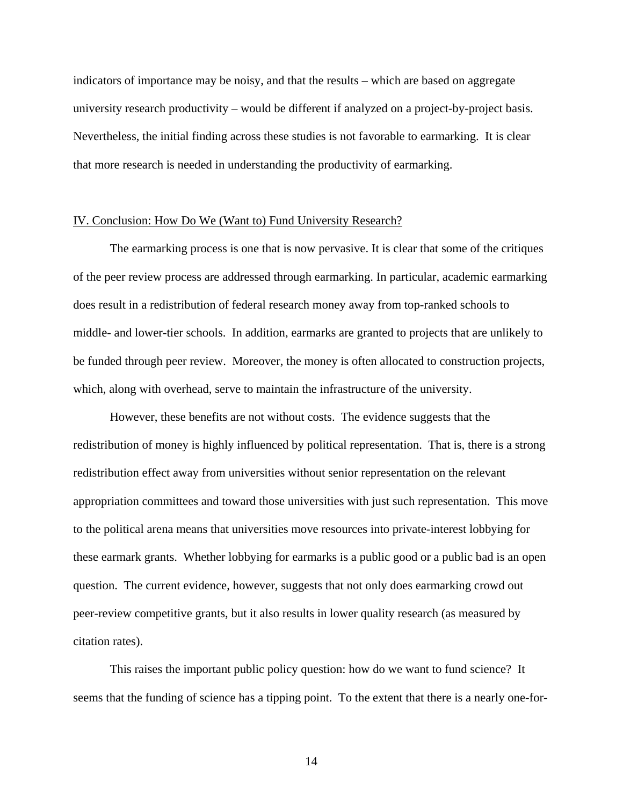indicators of importance may be noisy, and that the results – which are based on aggregate university research productivity – would be different if analyzed on a project-by-project basis. Nevertheless, the initial finding across these studies is not favorable to earmarking. It is clear that more research is needed in understanding the productivity of earmarking.

#### IV. Conclusion: How Do We (Want to) Fund University Research?

 The earmarking process is one that is now pervasive. It is clear that some of the critiques of the peer review process are addressed through earmarking. In particular, academic earmarking does result in a redistribution of federal research money away from top-ranked schools to middle- and lower-tier schools. In addition, earmarks are granted to projects that are unlikely to be funded through peer review. Moreover, the money is often allocated to construction projects, which, along with overhead, serve to maintain the infrastructure of the university.

However, these benefits are not without costs. The evidence suggests that the redistribution of money is highly influenced by political representation. That is, there is a strong redistribution effect away from universities without senior representation on the relevant appropriation committees and toward those universities with just such representation. This move to the political arena means that universities move resources into private-interest lobbying for these earmark grants. Whether lobbying for earmarks is a public good or a public bad is an open question. The current evidence, however, suggests that not only does earmarking crowd out peer-review competitive grants, but it also results in lower quality research (as measured by citation rates).

This raises the important public policy question: how do we want to fund science? It seems that the funding of science has a tipping point. To the extent that there is a nearly one-for-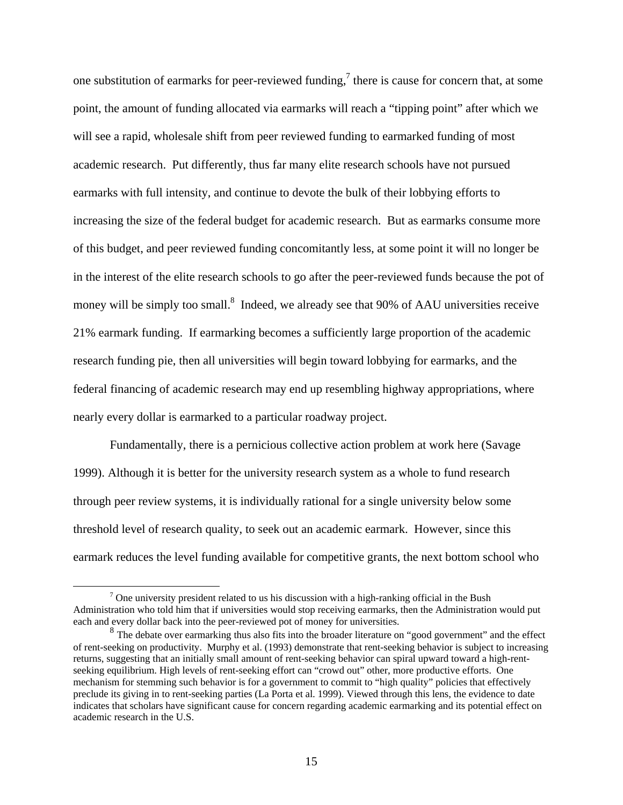one substitution of earmarks for peer-reviewed funding,<sup>7</sup> there is cause for concern that, at some point, the amount of funding allocated via earmarks will reach a "tipping point" after which we will see a rapid, wholesale shift from peer reviewed funding to earmarked funding of most academic research. Put differently, thus far many elite research schools have not pursued earmarks with full intensity, and continue to devote the bulk of their lobbying efforts to increasing the size of the federal budget for academic research. But as earmarks consume more of this budget, and peer reviewed funding concomitantly less, at some point it will no longer be in the interest of the elite research schools to go after the peer-reviewed funds because the pot of money will be simply too small.<sup>8</sup> Indeed, we already see that 90% of AAU universities receive 21% earmark funding. If earmarking becomes a sufficiently large proportion of the academic research funding pie, then all universities will begin toward lobbying for earmarks, and the federal financing of academic research may end up resembling highway appropriations, where nearly every dollar is earmarked to a particular roadway project.

Fundamentally, there is a pernicious collective action problem at work here (Savage 1999). Although it is better for the university research system as a whole to fund research through peer review systems, it is individually rational for a single university below some threshold level of research quality, to seek out an academic earmark. However, since this earmark reduces the level funding available for competitive grants, the next bottom school who

 <sup>7</sup> <sup>7</sup> One university president related to us his discussion with a high-ranking official in the Bush Administration who told him that if universities would stop receiving earmarks, then the Administration would put each and every dollar back into the peer-reviewed pot of money for universities.

<sup>&</sup>lt;sup>8</sup> The debate over earmarking thus also fits into the broader literature on "good government" and the effect of rent-seeking on productivity. Murphy et al. (1993) demonstrate that rent-seeking behavior is subject to increasing returns, suggesting that an initially small amount of rent-seeking behavior can spiral upward toward a high-rentseeking equilibrium. High levels of rent-seeking effort can "crowd out" other, more productive efforts. One mechanism for stemming such behavior is for a government to commit to "high quality" policies that effectively preclude its giving in to rent-seeking parties (La Porta et al. 1999). Viewed through this lens, the evidence to date indicates that scholars have significant cause for concern regarding academic earmarking and its potential effect on academic research in the U.S.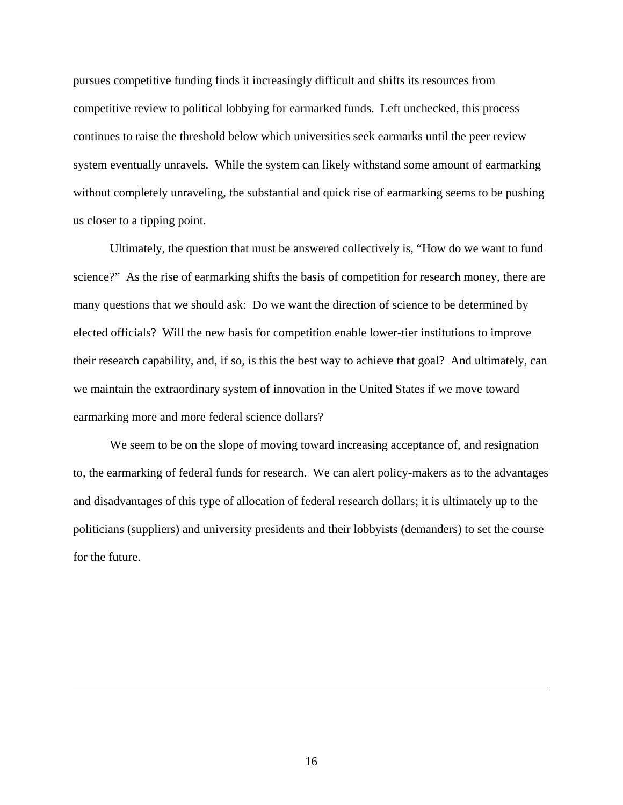pursues competitive funding finds it increasingly difficult and shifts its resources from competitive review to political lobbying for earmarked funds. Left unchecked, this process continues to raise the threshold below which universities seek earmarks until the peer review system eventually unravels. While the system can likely withstand some amount of earmarking without completely unraveling, the substantial and quick rise of earmarking seems to be pushing us closer to a tipping point.

Ultimately, the question that must be answered collectively is, "How do we want to fund science?" As the rise of earmarking shifts the basis of competition for research money, there are many questions that we should ask: Do we want the direction of science to be determined by elected officials? Will the new basis for competition enable lower-tier institutions to improve their research capability, and, if so, is this the best way to achieve that goal? And ultimately, can we maintain the extraordinary system of innovation in the United States if we move toward earmarking more and more federal science dollars?

We seem to be on the slope of moving toward increasing acceptance of, and resignation to, the earmarking of federal funds for research. We can alert policy-makers as to the advantages and disadvantages of this type of allocation of federal research dollars; it is ultimately up to the politicians (suppliers) and university presidents and their lobbyists (demanders) to set the course for the future.

 $\overline{a}$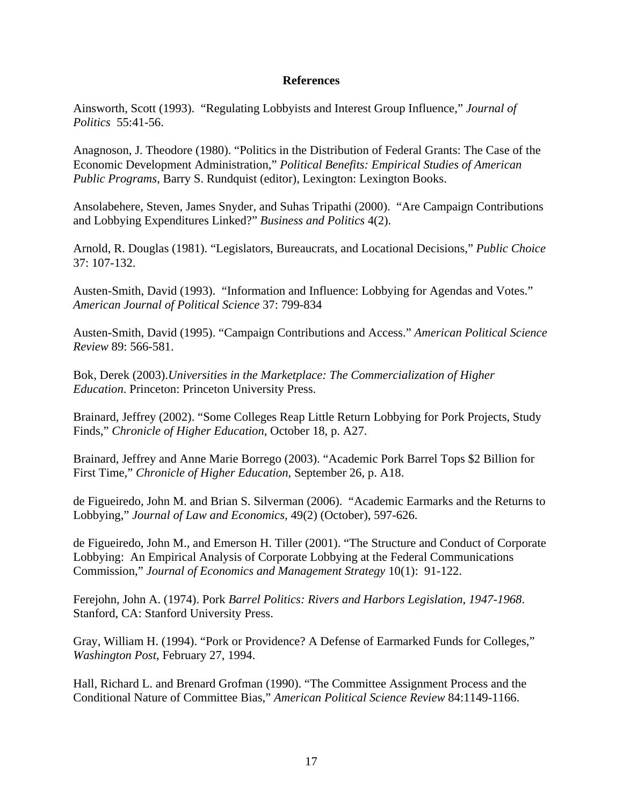# **References**

Ainsworth, Scott (1993). "Regulating Lobbyists and Interest Group Influence," *Journal of Politics* 55:41-56.

Anagnoson, J. Theodore (1980). "Politics in the Distribution of Federal Grants: The Case of the Economic Development Administration," *Political Benefits: Empirical Studies of American Public Programs*, Barry S. Rundquist (editor), Lexington: Lexington Books.

Ansolabehere, Steven, James Snyder, and Suhas Tripathi (2000). "Are Campaign Contributions and Lobbying Expenditures Linked?" *Business and Politics* 4(2).

Arnold, R. Douglas (1981). "Legislators, Bureaucrats, and Locational Decisions," *Public Choice* 37: 107-132.

Austen-Smith, David (1993). "Information and Influence: Lobbying for Agendas and Votes." *American Journal of Political Science* 37: 799-834

Austen-Smith, David (1995). "Campaign Contributions and Access." *American Political Science Review* 89: 566-581.

Bok, Derek (2003).*Universities in the Marketplace: The Commercialization of Higher Education*. Princeton: Princeton University Press.

Brainard, Jeffrey (2002). "Some Colleges Reap Little Return Lobbying for Pork Projects, Study Finds," *Chronicle of Higher Education*, October 18, p. A27.

Brainard, Jeffrey and Anne Marie Borrego (2003). "Academic Pork Barrel Tops \$2 Billion for First Time," *Chronicle of Higher Education*, September 26, p. A18.

de Figueiredo, John M. and Brian S. Silverman (2006). "Academic Earmarks and the Returns to Lobbying," *Journal of Law and Economics,* 49(2) (October), 597-626.

de Figueiredo, John M., and Emerson H. Tiller (2001). "The Structure and Conduct of Corporate Lobbying: An Empirical Analysis of Corporate Lobbying at the Federal Communications Commission," *Journal of Economics and Management Strategy* 10(1): 91-122.

Ferejohn, John A. (1974). Pork *Barrel Politics: Rivers and Harbors Legislation, 1947-1968*. Stanford, CA: Stanford University Press.

Gray, William H. (1994). "Pork or Providence? A Defense of Earmarked Funds for Colleges," *Washington Post*, February 27, 1994.

Hall, Richard L. and Brenard Grofman (1990). "The Committee Assignment Process and the Conditional Nature of Committee Bias," *American Political Science Review* 84:1149-1166.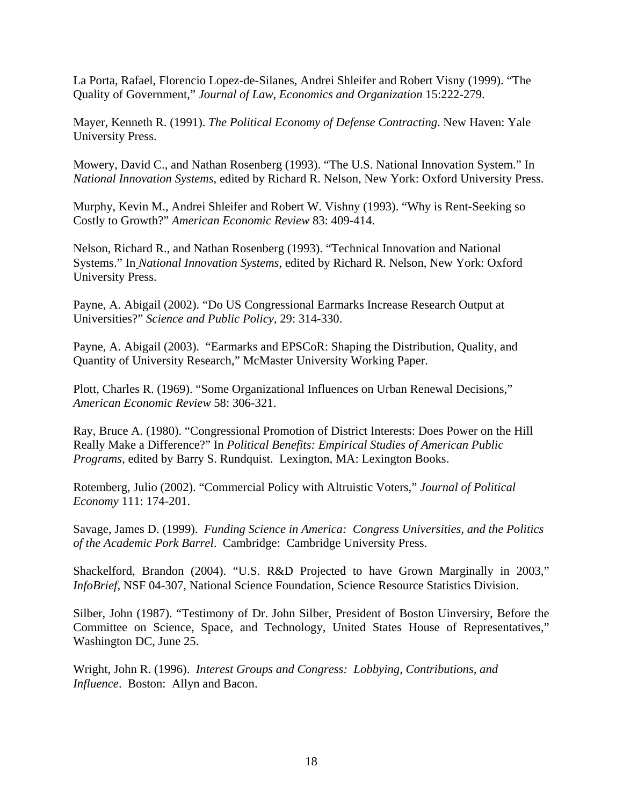La Porta, Rafael, Florencio Lopez-de-Silanes, Andrei Shleifer and Robert Visny (1999). "The Quality of Government," *Journal of Law, Economics and Organization* 15:222-279.

Mayer, Kenneth R. (1991). *The Political Economy of Defense Contracting*. New Haven: Yale University Press.

Mowery, David C., and Nathan Rosenberg (1993). "The U.S. National Innovation System." In *National Innovation Systems*, edited by Richard R. Nelson, New York: Oxford University Press.

Murphy, Kevin M., Andrei Shleifer and Robert W. Vishny (1993). "Why is Rent-Seeking so Costly to Growth?" *American Economic Review* 83: 409-414.

Nelson, Richard R., and Nathan Rosenberg (1993). "Technical Innovation and National Systems." In *National Innovation Systems*, edited by Richard R. Nelson, New York: Oxford University Press.

Payne, A. Abigail (2002). "Do US Congressional Earmarks Increase Research Output at Universities?" *Science and Public Policy*, 29: 314-330.

Payne, A. Abigail (2003). "Earmarks and EPSCoR: Shaping the Distribution, Quality, and Quantity of University Research," McMaster University Working Paper.

Plott, Charles R. (1969). "Some Organizational Influences on Urban Renewal Decisions," *American Economic Review* 58: 306-321.

Ray, Bruce A. (1980). "Congressional Promotion of District Interests: Does Power on the Hill Really Make a Difference?" In *Political Benefits: Empirical Studies of American Public Programs*, edited by Barry S. Rundquist. Lexington, MA: Lexington Books.

Rotemberg, Julio (2002). "Commercial Policy with Altruistic Voters," *Journal of Political Economy* 111: 174-201.

Savage, James D. (1999). *Funding Science in America: Congress Universities, and the Politics of the Academic Pork Barrel*. Cambridge: Cambridge University Press.

Shackelford, Brandon (2004). "U.S. R&D Projected to have Grown Marginally in 2003," *InfoBrief*, NSF 04-307, National Science Foundation, Science Resource Statistics Division.

Silber, John (1987). "Testimony of Dr. John Silber, President of Boston Uinversiry, Before the Committee on Science, Space, and Technology, United States House of Representatives," Washington DC, June 25.

Wright, John R. (1996). *Interest Groups and Congress: Lobbying, Contributions, and Influence*. Boston: Allyn and Bacon.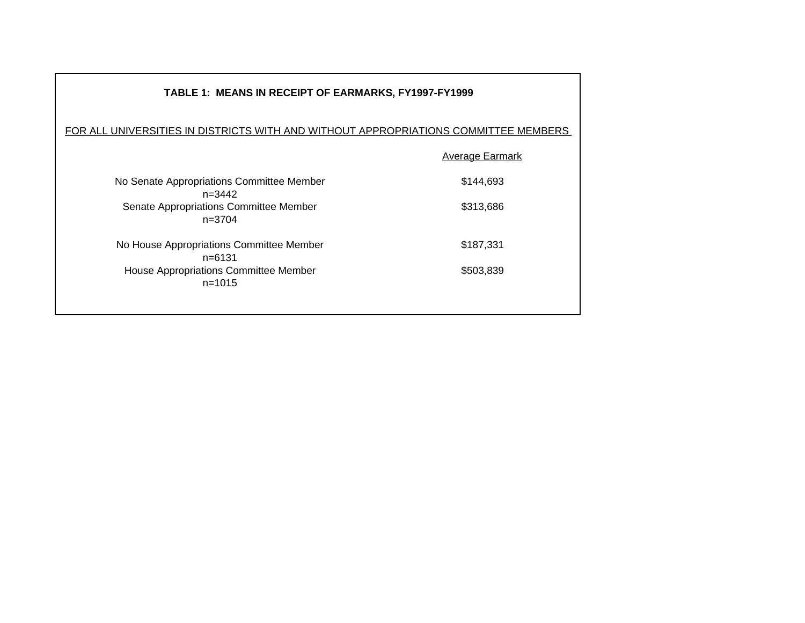| TABLE 1: MEANS IN RECEIPT OF EARMARKS, FY1997-FY1999                                |                        |  |  |  |  |  |
|-------------------------------------------------------------------------------------|------------------------|--|--|--|--|--|
| FOR ALL UNIVERSITIES IN DISTRICTS WITH AND WITHOUT APPROPRIATIONS COMMITTEE MEMBERS |                        |  |  |  |  |  |
|                                                                                     | <b>Average Earmark</b> |  |  |  |  |  |
| No Senate Appropriations Committee Member<br>$n = 3442$                             | \$144,693              |  |  |  |  |  |
| Senate Appropriations Committee Member<br>$n = 3704$                                | \$313,686              |  |  |  |  |  |
| No House Appropriations Committee Member<br>$n = 6131$                              | \$187,331              |  |  |  |  |  |
| House Appropriations Committee Member<br>$n = 1015$                                 | \$503,839              |  |  |  |  |  |
|                                                                                     |                        |  |  |  |  |  |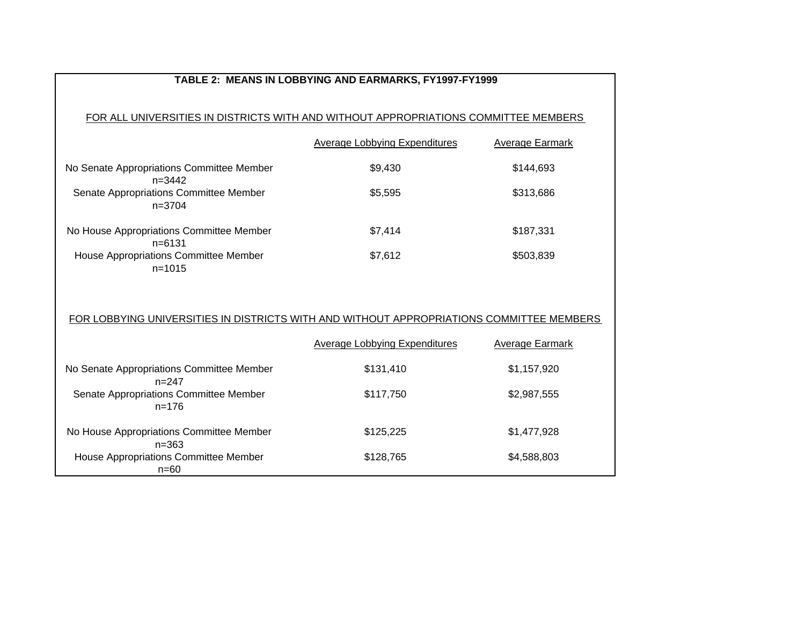| TABLE 2: MEANS IN LOBBYING AND EARMARKS, FY1997-FY1999                                   |                                      |                        |  |  |  |  |  |
|------------------------------------------------------------------------------------------|--------------------------------------|------------------------|--|--|--|--|--|
|                                                                                          |                                      |                        |  |  |  |  |  |
| FOR ALL UNIVERSITIES IN DISTRICTS WITH AND WITHOUT APPROPRIATIONS COMMITTEE MEMBERS      |                                      |                        |  |  |  |  |  |
|                                                                                          | <b>Average Lobbying Expenditures</b> | <b>Average Earmark</b> |  |  |  |  |  |
| No Senate Appropriations Committee Member<br>$n = 3442$                                  | \$9,430                              | \$144,693              |  |  |  |  |  |
| Senate Appropriations Committee Member<br>$n = 3704$                                     | \$5,595                              | \$313,686              |  |  |  |  |  |
| No House Appropriations Committee Member<br>$n=6131$                                     | \$7,414                              | \$187,331              |  |  |  |  |  |
| House Appropriations Committee Member<br>$n = 1015$                                      | \$7,612                              | \$503,839              |  |  |  |  |  |
| FOR LOBBYING UNIVERSITIES IN DISTRICTS WITH AND WITHOUT APPROPRIATIONS COMMITTEE MEMBERS |                                      |                        |  |  |  |  |  |
|                                                                                          | <b>Average Lobbying Expenditures</b> | <b>Average Earmark</b> |  |  |  |  |  |
| No Senate Appropriations Committee Member<br>$n = 247$                                   | \$131,410                            | \$1,157,920            |  |  |  |  |  |
| Senate Appropriations Committee Member<br>$n = 176$                                      | \$117,750                            | \$2,987,555            |  |  |  |  |  |
| No House Appropriations Committee Member<br>$n = 363$                                    | \$125,225                            | \$1,477,928            |  |  |  |  |  |
| House Appropriations Committee Member<br>$n = 60$                                        | \$128,765                            | \$4,588,803            |  |  |  |  |  |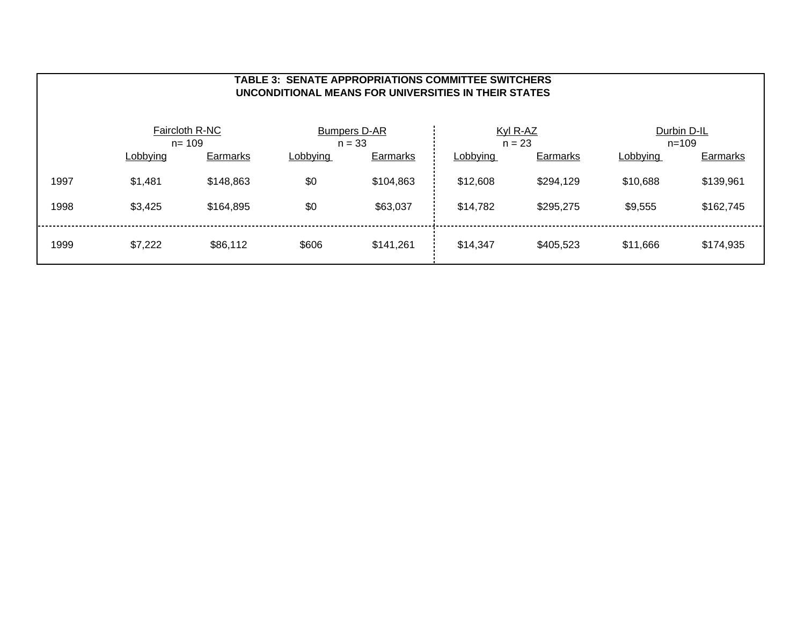| <b>TABLE 3: SENATE APPROPRIATIONS COMMITTEE SWITCHERS</b><br>UNCONDITIONAL MEANS FOR UNIVERSITIES IN THEIR STATES |                             |                 |                                 |           |                      |                 |                          |                 |  |
|-------------------------------------------------------------------------------------------------------------------|-----------------------------|-----------------|---------------------------------|-----------|----------------------|-----------------|--------------------------|-----------------|--|
|                                                                                                                   | Faircloth R-NC<br>$n = 109$ |                 | <b>Bumpers D-AR</b><br>$n = 33$ |           | Kyl R-AZ<br>$n = 23$ |                 | Durbin D-IL<br>$n = 109$ |                 |  |
|                                                                                                                   | Lobbying                    | <b>Earmarks</b> | Lobbying                        | Earmarks  | Lobbying             | <b>Earmarks</b> | Lobbying                 | <b>Earmarks</b> |  |
| 1997                                                                                                              | \$1,481                     | \$148,863       | \$0                             | \$104,863 | \$12,608             | \$294,129       | \$10,688                 | \$139,961       |  |
| 1998                                                                                                              | \$3,425                     | \$164,895       | \$0                             | \$63,037  | \$14,782             | \$295,275       | \$9,555                  | \$162,745       |  |
| 1999                                                                                                              | \$7,222                     | \$86,112        | \$606                           | \$141,261 | \$14,347             | \$405,523       | \$11,666                 | \$174,935       |  |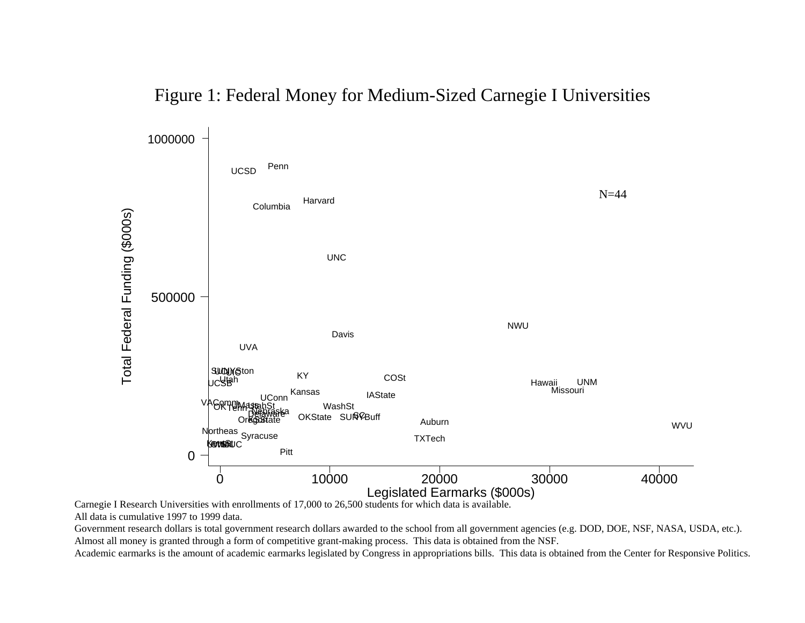

# Figure 1: Federal Money for Medium-Sized Carnegie I Universities

Carnegie I Research Universities with enrollments of 17,000 to 26,500 students for which data is available.

All data is cumulative 1997 to 1999 data.

Government research dollars is total government research dollars awarded to the school from all government agencies (e.g. DOD, DOE, NSF, NASA, USDA, etc.). Almost all money is granted through a form of competitive grant-making process. This data is obtained from the NSF.

Academic earmarks is the amount of academic earmarks legislated by Congress in appropriations bills. This data is obtained from the Center for Responsive Politics.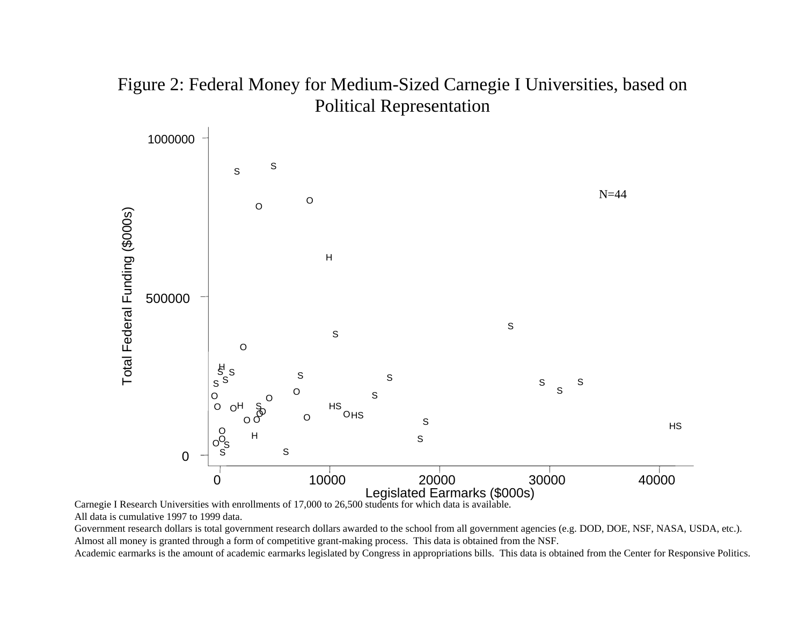

Figure 2: Federal Money for Medium-Sized Carnegie I Universities, based on Political Representation

Carnegie I Research Universities with enrollments of 17,000 to 26,500 students for which data is available.

All data is cumulative 1997 to 1999 data.

Government research dollars is total government research dollars awarded to the school from all government agencies (e.g. DOD, DOE, NSF, NASA, USDA, etc.). Almost all money is granted through a form of competitive grant-making process. This data is obtained from the NSF.

Academic earmarks is the amount of academic earmarks legislated by Congress in appropriations bills. This data is obtained from the Center for Responsive Politics.